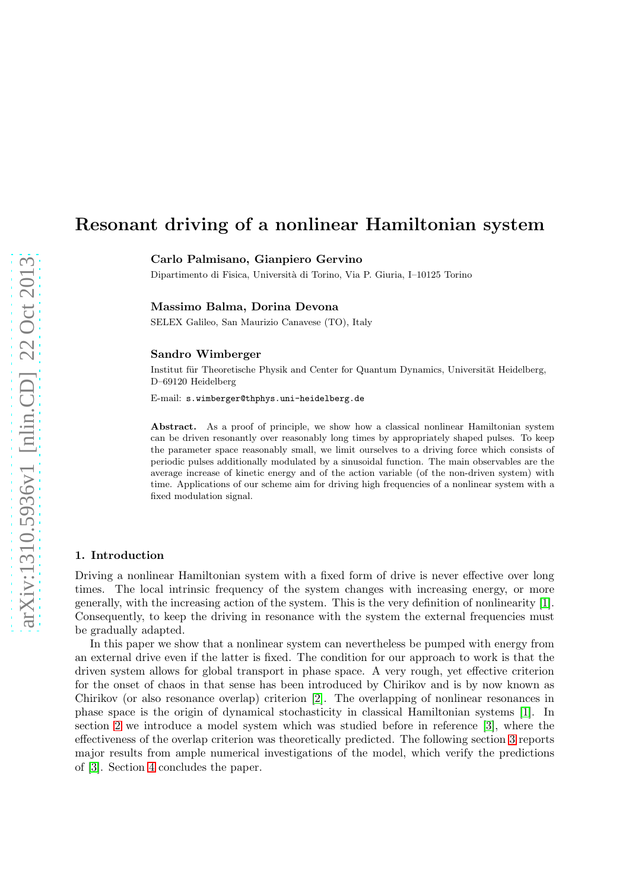# Resonant driving of a nonlinear Hamiltonian system

Carlo Palmisano, Gianpiero Gervino

Dipartimento di Fisica, Universit`a di Torino, Via P. Giuria, I–10125 Torino

## Massimo Balma, Dorina Devona

SELEX Galileo, San Maurizio Canavese (TO), Italy

#### Sandro Wimberger

Institut für Theoretische Physik and Center for Quantum Dynamics, Universität Heidelberg, D–69120 Heidelberg

E-mail: s.wimberger@thphys.uni-heidelberg.de

Abstract. As a proof of principle, we show how a classical nonlinear Hamiltonian system can be driven resonantly over reasonably long times by appropriately shaped pulses. To keep the parameter space reasonably small, we limit ourselves to a driving force which consists of periodic pulses additionally modulated by a sinusoidal function. The main observables are the average increase of kinetic energy and of the action variable (of the non-driven system) with time. Applications of our scheme aim for driving high frequencies of a nonlinear system with a fixed modulation signal.

## 1. Introduction

Driving a nonlinear Hamiltonian system with a fixed form of drive is never effective over long times. The local intrinsic frequency of the system changes with increasing energy, or more generally, with the increasing action of the system. This is the very definition of nonlinearity [\[1\]](#page-3-0). Consequently, to keep the driving in resonance with the system the external frequencies must be gradually adapted.

In this paper we show that a nonlinear system can nevertheless be pumped with energy from an external drive even if the latter is fixed. The condition for our approach to work is that the driven system allows for global transport in phase space. A very rough, yet effective criterion for the onset of chaos in that sense has been introduced by Chirikov and is by now known as Chirikov (or also resonance overlap) criterion [\[2\]](#page-3-1). The overlapping of nonlinear resonances in phase space is the origin of dynamical stochasticity in classical Hamiltonian systems [\[1\]](#page-3-0). In section [2](#page-1-0) we introduce a model system which was studied before in reference [\[3\]](#page-3-2), where the effectiveness of the overlap criterion was theoretically predicted. The following section [3](#page-2-0) reports major results from ample numerical investigations of the model, which verify the predictions of [\[3\]](#page-3-2). Section [4](#page-2-1) concludes the paper.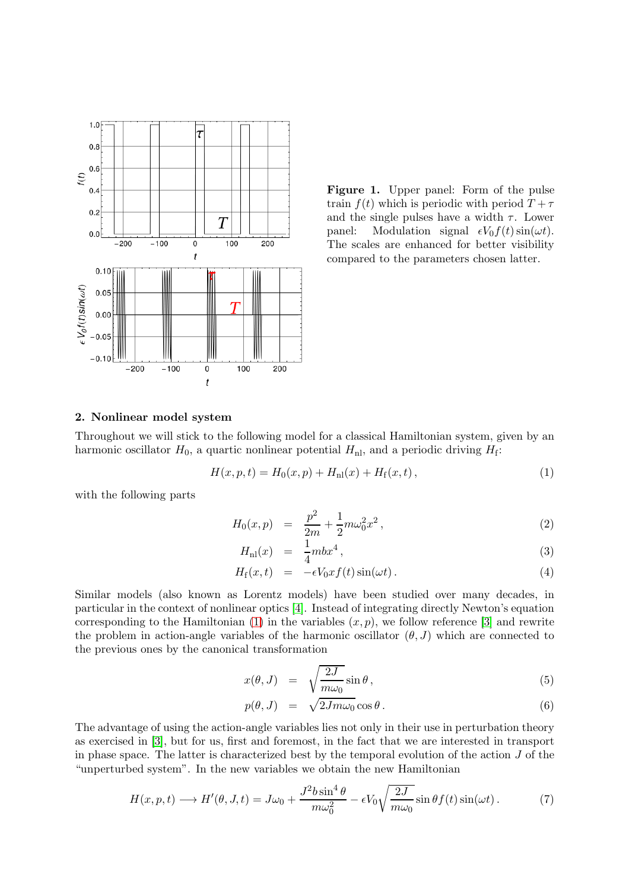

<span id="page-1-2"></span>Figure 1. Upper panel: Form of the pulse train  $f(t)$  which is periodic with period  $T + \tau$ and the single pulses have a width  $\tau$ . Lower panel: Modulation signal  $\epsilon V_0 f(t) \sin(\omega t)$ . The scales are enhanced for better visibility compared to the parameters chosen latter.

## <span id="page-1-0"></span>2. Nonlinear model system

Throughout we will stick to the following model for a classical Hamiltonian system, given by an harmonic oscillator  $H_0$ , a quartic nonlinear potential  $H_{\text{nl}}$ , and a periodic driving  $H_{\text{f}}$ :

<span id="page-1-1"></span>
$$
H(x, p, t) = H_0(x, p) + H_{\rm nl}(x) + H_{\rm f}(x, t), \qquad (1)
$$

with the following parts

$$
H_0(x,p) = \frac{p^2}{2m} + \frac{1}{2}m\omega_0^2 x^2, \qquad (2)
$$

$$
H_{\rm nl}(x) = \frac{1}{4}m b x^4, \qquad (3)
$$

$$
H_{\rm f}(x,t) = -\epsilon V_0 x f(t) \sin(\omega t). \tag{4}
$$

Similar models (also known as Lorentz models) have been studied over many decades, in particular in the context of nonlinear optics [\[4\]](#page-4-0). Instead of integrating directly Newton's equation corresponding to the Hamiltonian [\(1\)](#page-1-1) in the variables  $(x, p)$ , we follow reference [\[3\]](#page-3-2) and rewrite the problem in action-angle variables of the harmonic oscillator  $(\theta, J)$  which are connected to the previous ones by the canonical transformation

$$
x(\theta, J) = \sqrt{\frac{2J}{m\omega_0}} \sin \theta, \qquad (5)
$$

$$
p(\theta, J) = \sqrt{2Jm\omega_0} \cos \theta.
$$
 (6)

The advantage of using the action-angle variables lies not only in their use in perturbation theory as exercised in [\[3\]](#page-3-2), but for us, first and foremost, in the fact that we are interested in transport in phase space. The latter is characterized best by the temporal evolution of the action  $J$  of the "unperturbed system". In the new variables we obtain the new Hamiltonian

$$
H(x, p, t) \longrightarrow H'(\theta, J, t) = J\omega_0 + \frac{J^2 b \sin^4 \theta}{m \omega_0^2} - \epsilon V_0 \sqrt{\frac{2J}{m \omega_0}} \sin \theta f(t) \sin(\omega t). \tag{7}
$$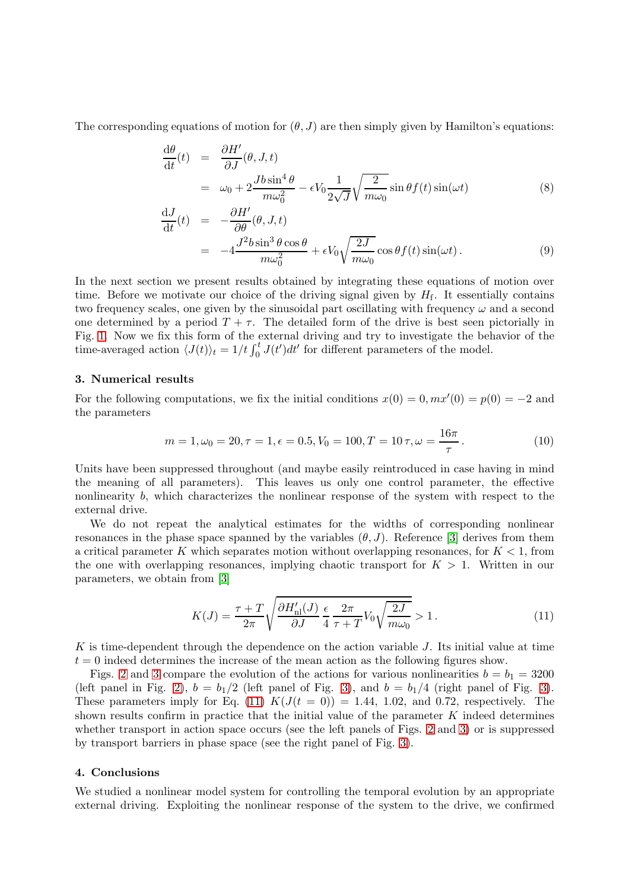The corresponding equations of motion for  $(\theta, J)$  are then simply given by Hamilton's equations:

$$
\frac{d\theta}{dt}(t) = \frac{\partial H'}{\partial J}(\theta, J, t)
$$
  
=  $\omega_0 + 2 \frac{Jb \sin^4 \theta}{m \omega_0^2} - \epsilon V_0 \frac{1}{2\sqrt{J}} \sqrt{\frac{2}{m \omega_0}} \sin \theta f(t) \sin(\omega t)$  (8)

$$
\frac{dJ}{dt}(t) = -\frac{\partial H'}{\partial \theta}(\theta, J, t) \n= -4 \frac{J^2 b \sin^3 \theta \cos \theta}{m \omega_0^2} + \epsilon V_0 \sqrt{\frac{2J}{m \omega_0}} \cos \theta f(t) \sin(\omega t).
$$
\n(9)

In the next section we present results obtained by integrating these equations of motion over time. Before we motivate our choice of the driving signal given by  $H_f$ . It essentially contains two frequency scales, one given by the sinusoidal part oscillating with frequency  $\omega$  and a second one determined by a period  $T + \tau$ . The detailed form of the drive is best seen pictorially in Fig. [1.](#page-1-2) Now we fix this form of the external driving and try to investigate the behavior of the time-averaged action  $\langle J(t) \rangle_t = 1/t \int_0^t J(t')dt'$  for different parameters of the model.

#### <span id="page-2-0"></span>3. Numerical results

For the following computations, we fix the initial conditions  $x(0) = 0, mx'(0) = p(0) = -2$  and the parameters

$$
m = 1, \omega_0 = 20, \tau = 1, \epsilon = 0.5, V_0 = 100, T = 10 \tau, \omega = \frac{16\pi}{\tau}.
$$
 (10)

Units have been suppressed throughout (and maybe easily reintroduced in case having in mind the meaning of all parameters). This leaves us only one control parameter, the effective nonlinearity b, which characterizes the nonlinear response of the system with respect to the external drive.

We do not repeat the analytical estimates for the widths of corresponding nonlinear resonances in the phase space spanned by the variables  $(\theta, J)$ . Reference [\[3\]](#page-3-2) derives from them a critical parameter K which separates motion without overlapping resonances, for  $K < 1$ , from the one with overlapping resonances, implying chaotic transport for  $K > 1$ . Written in our parameters, we obtain from [\[3\]](#page-3-2)

<span id="page-2-2"></span>
$$
K(J) = \frac{\tau + T}{2\pi} \sqrt{\frac{\partial H'_{\text{nl}}(J)}{\partial J}} \frac{\epsilon}{4} \frac{2\pi}{\tau + T} V_0 \sqrt{\frac{2J}{m\omega_0}} > 1. \tag{11}
$$

K is time-dependent through the dependence on the action variable  $J$ . Its initial value at time  $t = 0$  indeed determines the increase of the mean action as the following figures show.

Figs. [2](#page-3-3) and [3](#page-3-4) compare the evolution of the actions for various nonlinearities  $b = b_1 = 3200$ (left panel in Fig. [2\)](#page-3-3),  $b = b_1/2$  (left panel of Fig. [3\)](#page-3-4), and  $b = b_1/4$  (right panel of Fig. 3). These parameters imply for Eq. [\(11\)](#page-2-2)  $K(J(t = 0)) = 1.44, 1.02,$  and 0.72, respectively. The shown results confirm in practice that the initial value of the parameter  $K$  indeed determines whether transport in action space occurs (see the left panels of Figs. [2](#page-3-3) and [3\)](#page-3-4) or is suppressed by transport barriers in phase space (see the right panel of Fig. [3\)](#page-3-4).

# <span id="page-2-1"></span>4. Conclusions

We studied a nonlinear model system for controlling the temporal evolution by an appropriate external driving. Exploiting the nonlinear response of the system to the drive, we confirmed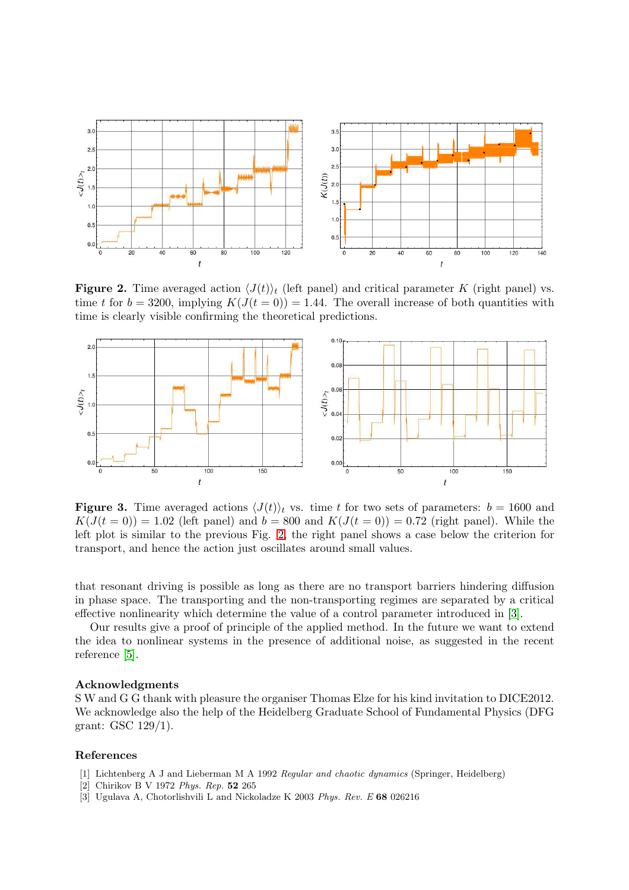

<span id="page-3-3"></span>**Figure 2.** Time averaged action  $\langle J(t) \rangle_t$  (left panel) and critical parameter K (right panel) vs. time t for  $b = 3200$ , implying  $K(J(t = 0)) = 1.44$ . The overall increase of both quantities with time is clearly visible confirming the theoretical predictions.



<span id="page-3-4"></span>**Figure 3.** Time averaged actions  $\langle J(t) \rangle_t$  vs. time t for two sets of parameters:  $b = 1600$  and  $K(J(t=0)) = 1.02$  (left panel) and  $b = 800$  and  $K(J(t=0)) = 0.72$  (right panel). While the left plot is similar to the previous Fig. [2,](#page-3-3) the right panel shows a case below the criterion for transport, and hence the action just oscillates around small values.

that resonant driving is possible as long as there are no transport barriers hindering diffusion in phase space. The transporting and the non-transporting regimes are separated by a critical effective nonlinearity which determine the value of a control parameter introduced in [\[3\]](#page-3-2).

Our results give a proof of principle of the applied method. In the future we want to extend the idea to nonlinear systems in the presence of additional noise, as suggested in the recent reference [\[5\]](#page-4-1).

#### Acknowledgments

S W and G G thank with pleasure the organiser Thomas Elze for his kind invitation to DICE2012. We acknowledge also the help of the Heidelberg Graduate School of Fundamental Physics (DFG grant: GSC 129/1).

# <span id="page-3-0"></span>References

- <span id="page-3-1"></span>[1] Lichtenberg A J and Lieberman M A 1992 Regular and chaotic dynamics (Springer, Heidelberg)
- <span id="page-3-2"></span>[2] Chirikov B V 1972 Phys. Rep. 52 265
- [3] Ugulava A, Chotorlishvili L and Nickoladze K 2003 Phys. Rev. E 68 026216